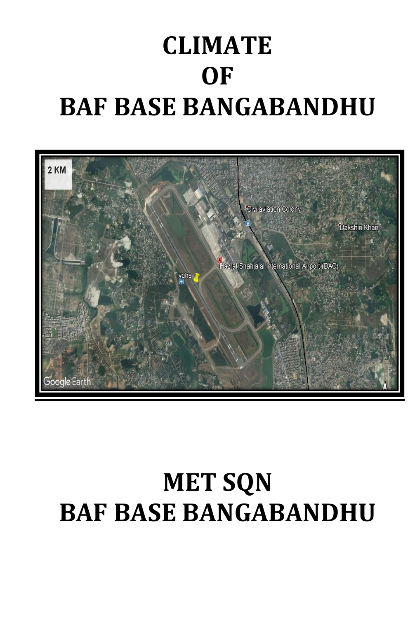# **CLIMATE OF BAF BASE BANGABANDHU**



# **MET SQN BAF BASE BANGABANDHU**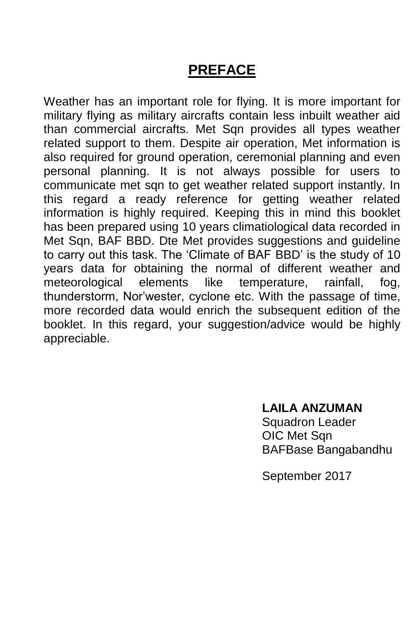# **PREFACE**

Weather has an important role for flying. It is more important for military flying as military aircrafts contain less inbuilt weather aid than commercial aircrafts. Met Sqn provides all types weather related support to them. Despite air operation, Met information is also required for ground operation, ceremonial planning and even personal planning. It is not always possible for users to communicate met sqn to get weather related support instantly. In this regard a ready reference for getting weather related information is highly required. Keeping this in mind this booklet has been prepared using 10 years climatiological data recorded in Met Sqn, BAF BBD. Dte Met provides suggestions and guideline to carry out this task. The 'Climate of BAF BBD' is the study of 10 years data for obtaining the normal of different weather and meteorological elements like temperature, rainfall, fog, thunderstorm, Nor'wester, cyclone etc. With the passage of time, more recorded data would enrich the subsequent edition of the booklet. In this regard, your suggestion/advice would be highly appreciable.

#### **LAILA ANZUMAN**

Squadron Leader OIC Met Sqn BAFBase Bangabandhu

September 2017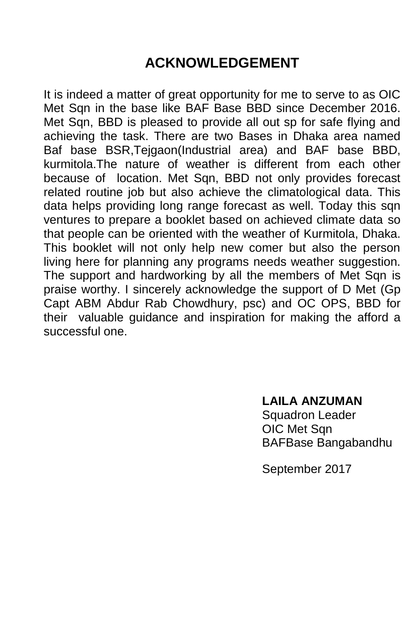# **ACKNOWLEDGEMENT**

It is indeed a matter of great opportunity for me to serve to as OIC Met Sqn in the base like BAF Base BBD since December 2016. Met Sqn, BBD is pleased to provide all out sp for safe flying and achieving the task. There are two Bases in Dhaka area named Baf base BSR,Tejgaon(Industrial area) and BAF base BBD, kurmitola.The nature of weather is different from each other because of location. Met Sqn, BBD not only provides forecast related routine job but also achieve the climatological data. This data helps providing long range forecast as well. Today this sqn ventures to prepare a booklet based on achieved climate data so that people can be oriented with the weather of Kurmitola, Dhaka. This booklet will not only help new comer but also the person living here for planning any programs needs weather suggestion. The support and hardworking by all the members of Met Sqn is praise worthy. I sincerely acknowledge the support of D Met (Gp Capt ABM Abdur Rab Chowdhury, psc) and OC OPS, BBD for their valuable guidance and inspiration for making the afford a successful one.

> **LAILA ANZUMAN** Squadron Leader OIC Met Sqn

BAFBase Bangabandhu

September 2017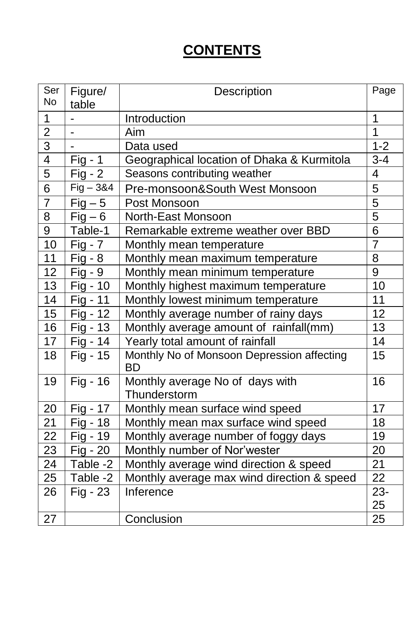# **CONTENTS**

| Ser<br>No       | Figure/     | Description                                             | Page           |
|-----------------|-------------|---------------------------------------------------------|----------------|
|                 | table       |                                                         |                |
| 1               |             | Introduction                                            | 1              |
| $\overline{2}$  | -           | Aim                                                     | $\overline{1}$ |
| $\overline{3}$  |             | Data used                                               | $1 - 2$        |
| $\overline{4}$  | $Fig - 1$   | Geographical location of Dhaka & Kurmitola              | $3 - 4$        |
| $\overline{5}$  | $Fig - 2$   | Seasons contributing weather                            | $\overline{4}$ |
| $\overline{6}$  | $Fig - 384$ | Pre-monsoon&South West Monsoon                          | $\overline{5}$ |
| 7               | $Fig - 5$   | Post Monsoon                                            | 5              |
| $\overline{8}$  | $Fig - 6$   | North-East Monsoon                                      | $\overline{5}$ |
| $\overline{9}$  | Table-1     | Remarkable extreme weather over BBD                     | $\overline{6}$ |
| 10              | $Fig - 7$   | Monthly mean temperature                                | $\overline{7}$ |
| 11              | $Fig - 8$   | Monthly mean maximum temperature                        | 8              |
| 12              | $Fig - 9$   | Monthly mean minimum temperature                        | 9              |
| 13              | Fig - 10    | Monthly highest maximum temperature                     | 10             |
| 14              | Fig - 11    | Monthly lowest minimum temperature                      | 11             |
| 15              | Fig - 12    | Monthly average number of rainy days                    | 12             |
| 16              | Fig - 13    | Monthly average amount of rainfall(mm)                  | 13             |
| 17              | Fig - 14    | Yearly total amount of rainfall                         | 14             |
| 18              | Fig - 15    | Monthly No of Monsoon Depression affecting<br><b>BD</b> | 15             |
| 19              | Fig - 16    | Monthly average No of days with<br>Thunderstorm         | 16             |
| 20              | Fig - 17    | Monthly mean surface wind speed                         | 17             |
| 21              | Fig - 18    | Monthly mean max surface wind speed                     | 18             |
| 22              | Fig - 19    | Monthly average number of foggy days                    | 19             |
| $\overline{23}$ | Fig - 20    | Monthly number of Nor'wester                            | 20             |
| 24              | Table -2    | Monthly average wind direction & speed                  | 21             |
| 25              | Table -2    | Monthly average max wind direction & speed              | 22             |
| 26              | $Fig - 23$  | Inference                                               | $23 -$         |
|                 |             |                                                         | 25             |
| 27              |             | Conclusion                                              | 25             |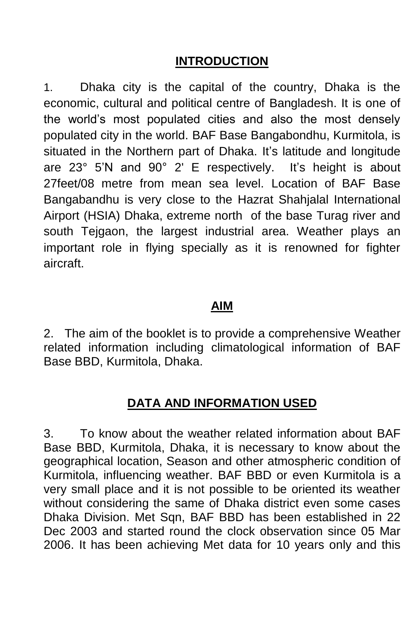## **INTRODUCTION**

1. Dhaka city is the capital of the country, Dhaka is the economic, cultural and political centre of Bangladesh. It is one of the world's most populated cities and also the most densely populated city in the world. BAF Base Bangabondhu, Kurmitola, is situated in the Northern part of Dhaka. It's latitude and longitude are 23° 5'N and 90° 2' E respectively. It's height is about 27feet/08 metre from mean sea level. Location of BAF Base Bangabandhu is very close to the Hazrat Shahjalal International Airport (HSIA) Dhaka, extreme north of the base Turag river and south Tejgaon, the largest industrial area. Weather plays an important role in flying specially as it is renowned for fighter aircraft.

### **AIM**

2. The aim of the booklet is to provide a comprehensive Weather related information including climatological information of BAF Base BBD, Kurmitola, Dhaka.

## **DATA AND INFORMATION USED**

3. To know about the weather related information about BAF Base BBD, Kurmitola, Dhaka, it is necessary to know about the geographical location, Season and other atmospheric condition of Kurmitola, influencing weather. BAF BBD or even Kurmitola is a very small place and it is not possible to be oriented its weather without considering the same of Dhaka district even some cases Dhaka Division. Met Sqn, BAF BBD has been established in 22 Dec 2003 and started round the clock observation since 05 Mar 2006. It has been achieving Met data for 10 years only and this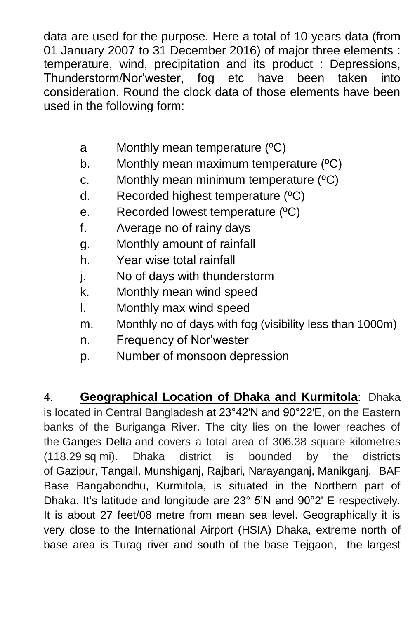data are used for the purpose. Here a total of 10 years data (from 01 January 2007 to 31 December 2016) of major three elements : temperature, wind, precipitation and its product : Depressions, Thunderstorm/Nor'wester, fog etc have been taken into consideration. Round the clock data of those elements have been used in the following form:

- a Monthly mean temperature (ºC)
- b. Monthly mean maximum temperature (°C)
- c. Monthly mean minimum temperature (ºC)
- d. Recorded highest temperature (ºC)
- e. Recorded lowest temperature (ºC)
- f. Average no of rainy days
- g. Monthly amount of rainfall
- h. Year wise total rainfall
- j. No of days with thunderstorm
- k. Monthly mean wind speed
- l. Monthly max wind speed
- m. Monthly no of days with fog (visibility less than 1000m)
- n. Frequency of Nor'wester
- p. Number of monsoon depression

4. **Geographical Location of Dhaka and Kurmitola**: Dhaka is located in Central Bangladesh at 23°42′N and [90°22′E,](https://tools.wmflabs.org/geohack/geohack.php?pagename=Dhaka¶ms=23_42_N_90_22_E_type:city_region:BD) on the Eastern banks of the Buriganga River. The city lies on the lower reaches of the [Ganges Delta](https://en.wikipedia.org/wiki/Ganges_Delta) and covers a total area of 306.38 square kilometres (118.29 sq mi). Dhaka district is bounded by the districts of [Gazipur,](https://en.wikipedia.org/wiki/Gazipur_District) [Tangail,](https://en.wikipedia.org/wiki/Tangail_District) [Munshiganj,](https://en.wikipedia.org/wiki/Munshiganj_District) [Rajbari,](https://en.wikipedia.org/wiki/Rajbari_District) [Narayanganj,](https://en.wikipedia.org/wiki/Narayanganj_District) [Manikganj.](https://en.wikipedia.org/wiki/Manikganj_District) BAF Base Bangabondhu, Kurmitola, is situated in the Northern part of Dhaka. It's latitude and longitude are 23° 5'N and 90°2' E respectively. It is about 27 feet/08 metre from mean sea level. Geographically it is very close to the International Airport (HSIA) Dhaka, extreme north of base area is Turag river and south of the base Tejgaon, the largest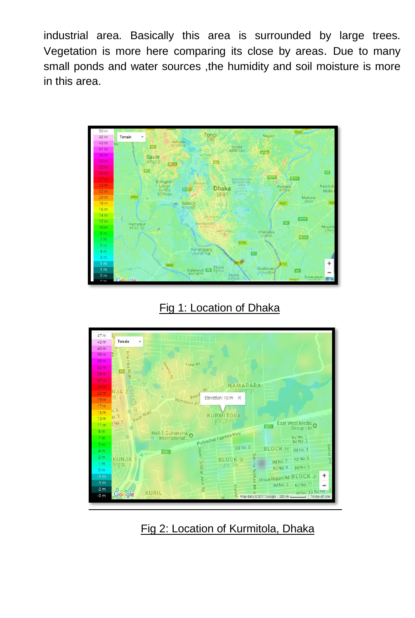industrial area. Basically this area is surrounded by large trees. Vegetation is more here comparing its close by areas. Due to many small ponds and water sources ,the humidity and soil moisture is more in this area.



Fig 1: Location of Dhaka



Fig 2: Location of Kurmitola, Dhaka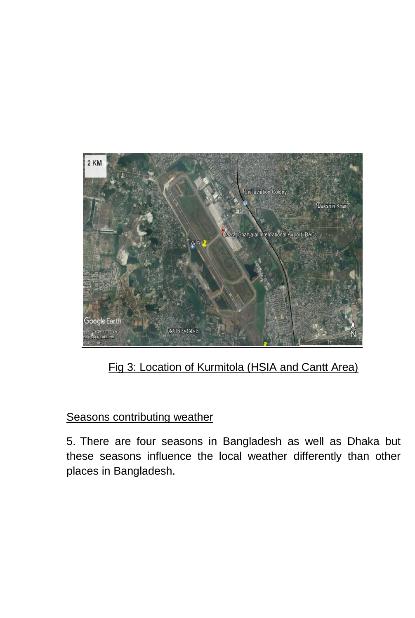

Fig 3: Location of Kurmitola (HSIA and Cantt Area)

### Seasons contributing weather

5. There are four seasons in Bangladesh as well as Dhaka but these seasons influence the local weather differently than other places in Bangladesh.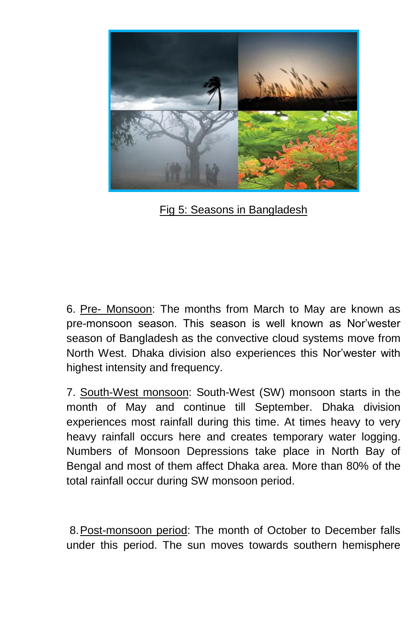

Fig 5: Seasons in Bangladesh

6. Pre- Monsoon: The months from March to May are known as pre-monsoon season. This season is well known as Nor'wester season of Bangladesh as the convective cloud systems move from North West. Dhaka division also experiences this Nor'wester with highest intensity and frequency.

7. South-West monsoon: South-West (SW) monsoon starts in the month of May and continue till September. Dhaka division experiences most rainfall during this time. At times heavy to very heavy rainfall occurs here and creates temporary water logging. Numbers of Monsoon Depressions take place in North Bay of Bengal and most of them affect Dhaka area. More than 80% of the total rainfall occur during SW monsoon period.

8.Post-monsoon period: The month of October to December falls under this period. The sun moves towards southern hemisphere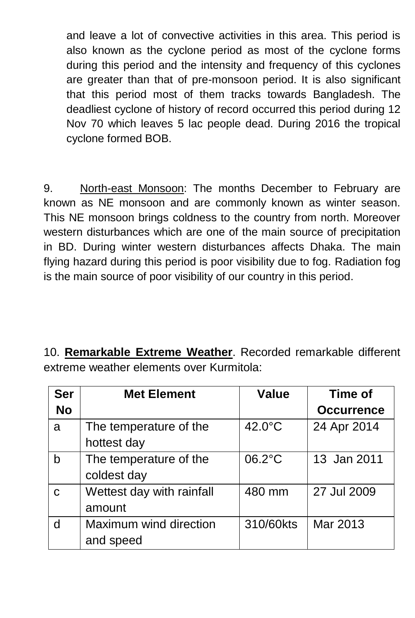and leave a lot of convective activities in this area. This period is also known as the cyclone period as most of the cyclone forms during this period and the intensity and frequency of this cyclones are greater than that of pre-monsoon period. It is also significant that this period most of them tracks towards Bangladesh. The deadliest cyclone of history of record occurred this period during 12 Nov 70 which leaves 5 lac people dead. During 2016 the tropical cyclone formed BOB.

9. North-east Monsoon: The months December to February are known as NE monsoon and are commonly known as winter season. This NE monsoon brings coldness to the country from north. Moreover western disturbances which are one of the main source of precipitation in BD. During winter western disturbances affects Dhaka. The main flying hazard during this period is poor visibility due to fog. Radiation fog is the main source of poor visibility of our country in this period.

10. **Remarkable Extreme Weather**. Recorded remarkable different extreme weather elements over Kurmitola:

| <b>Ser</b>  | <b>Met Element</b>        | <b>Value</b> | Time of           |  |
|-------------|---------------------------|--------------|-------------------|--|
| <b>No</b>   |                           |              | <b>Occurrence</b> |  |
| a           | The temperature of the    | 42.0°C       | 24 Apr 2014       |  |
|             | hottest day               |              |                   |  |
| b           | The temperature of the    | 06.2°C       | 13 Jan 2011       |  |
|             | coldest day               |              |                   |  |
| $\mathbf C$ | Wettest day with rainfall | 480 mm       | 27 Jul 2009       |  |
|             | amount                    |              |                   |  |
| d           | Maximum wind direction    | 310/60kts    | Mar 2013          |  |
|             | and speed                 |              |                   |  |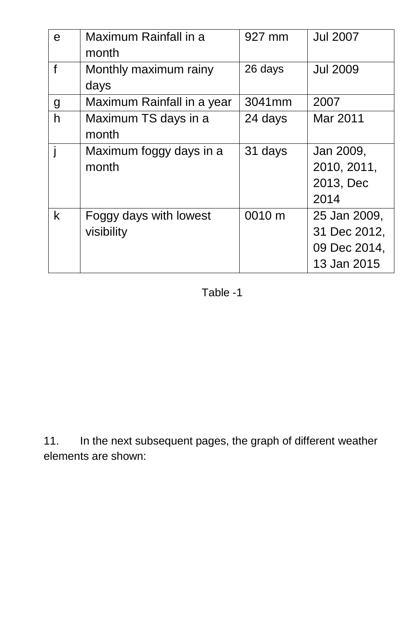| e            | Maximum Rainfall in a<br>month       | 927 mm  | <b>Jul 2007</b>                                             |
|--------------|--------------------------------------|---------|-------------------------------------------------------------|
| $\mathbf{f}$ | Monthly maximum rainy<br>days        | 26 days | <b>Jul 2009</b>                                             |
| g            | Maximum Rainfall in a year           | 3041mm  | 2007                                                        |
| h            | Maximum TS days in a<br>month        | 24 days | Mar 2011                                                    |
|              | Maximum foggy days in a<br>month     | 31 days | Jan 2009,<br>2010, 2011,<br>2013, Dec<br>2014               |
| k            | Foggy days with lowest<br>visibility | 0010 m  | 25 Jan 2009,<br>31 Dec 2012,<br>09 Dec 2014,<br>13 Jan 2015 |

Table -1

11. In the next subsequent pages, the graph of different weather elements are shown: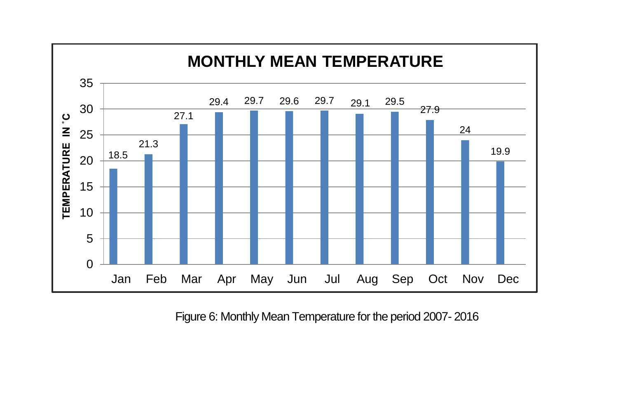

Figure 6: Monthly Mean Temperature for the period 2007- 2016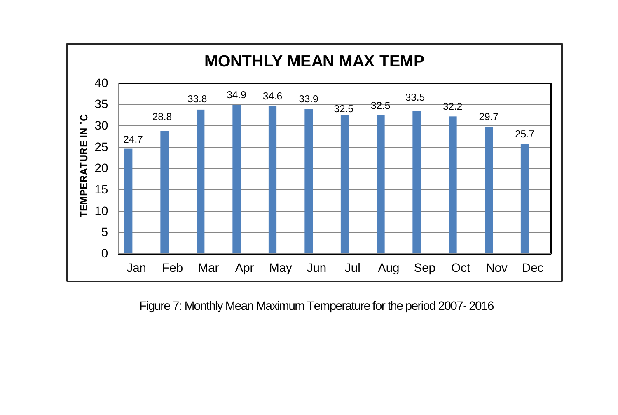

Figure 7: Monthly Mean Maximum Temperature for the period 2007- 2016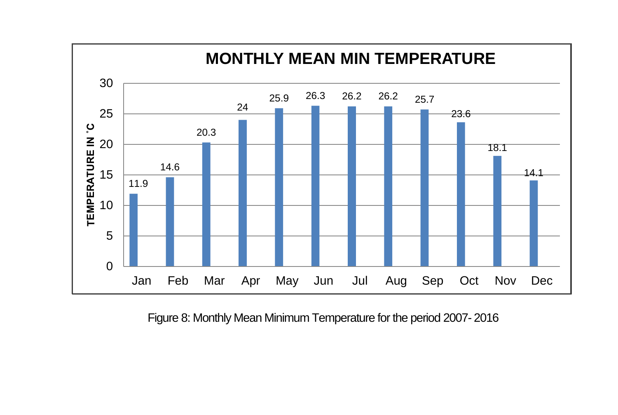

Figure 8: Monthly Mean Minimum Temperature for the period 2007- 2016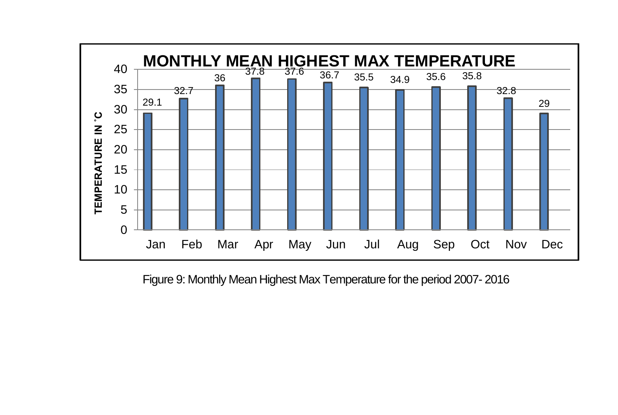

Figure 9: Monthly Mean Highest Max Temperature for the period 2007- 2016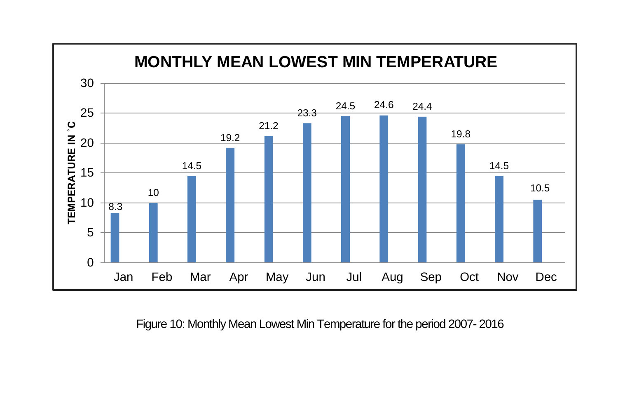

Figure 10: Monthly Mean Lowest Min Temperature for the period 2007- 2016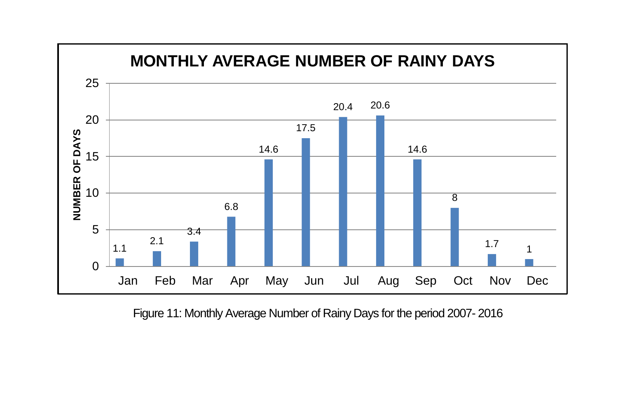

Figure 11: Monthly Average Number of Rainy Days for the period 2007- 2016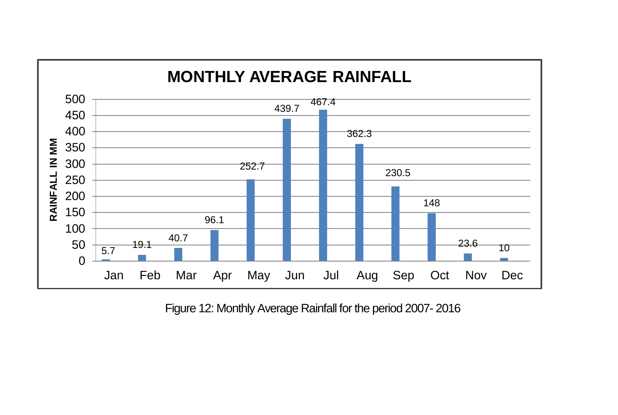

Figure 12: Monthly Average Rainfall for the period 2007- 2016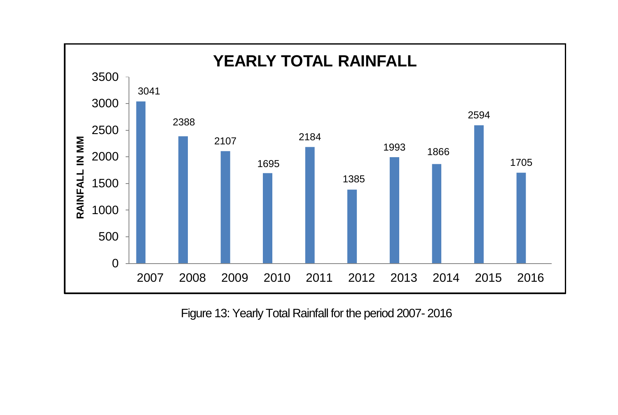

Figure 13: Yearly Total Rainfall for the period 2007- 2016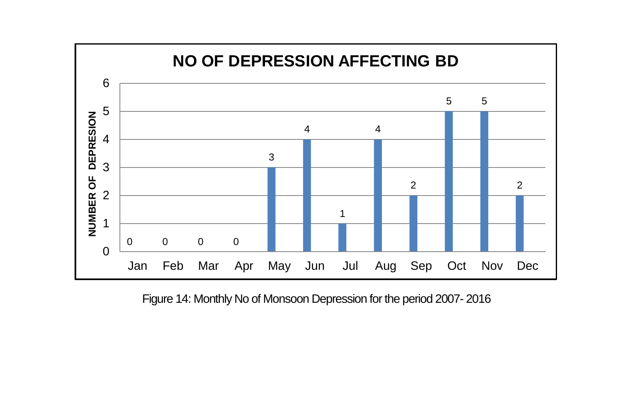

Figure 14: Monthly No of Monsoon Depression for the period 2007- 2016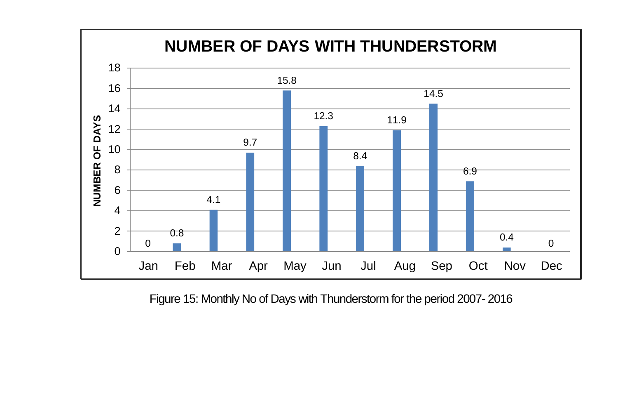

Figure 15: Monthly No of Days with Thunderstorm for the period 2007- 2016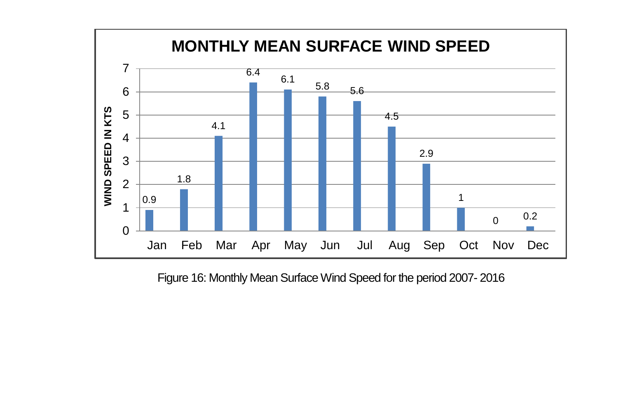

Figure 16: Monthly Mean Surface Wind Speed for the period 2007- 2016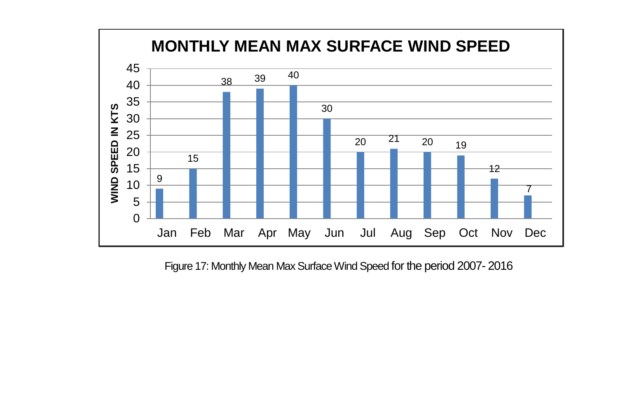

Figure 17: Monthly Mean Max Surface Wind Speed for the period 2007- 2016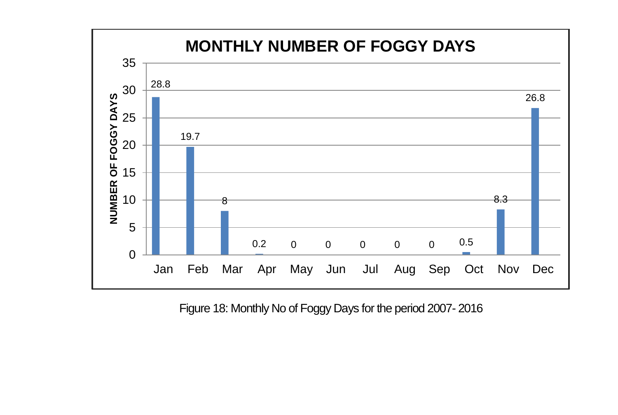

Figure 18: Monthly No of Foggy Days for the period 2007- 2016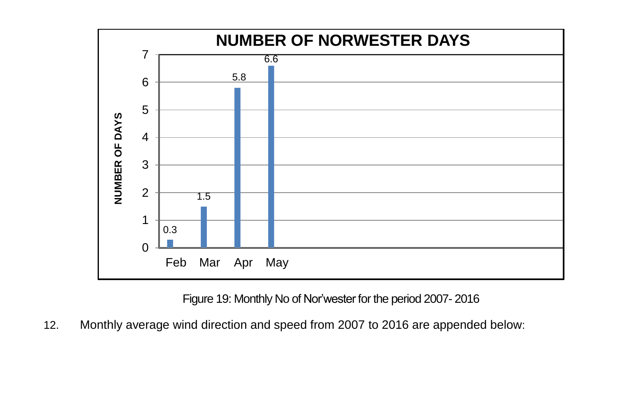

Figure 19: Monthly No of Nor'wester for the period 2007- 2016

12. Monthly average wind direction and speed from 2007 to 2016 are appended below: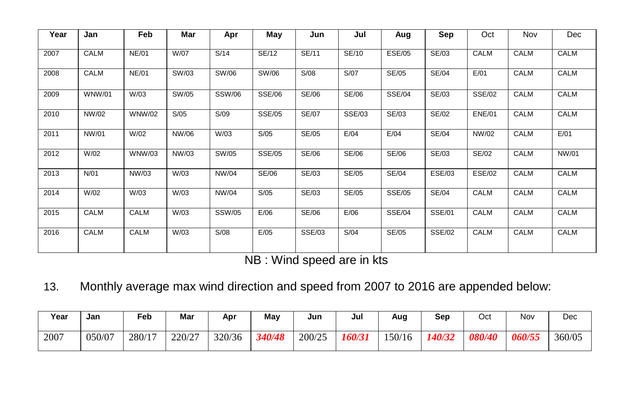| Year | Jan           | <b>Feb</b>    | Mar   | Apr           | May           | Jun           | Jul          | Aug           | Sep           | Oct           | Nov         | <b>Dec</b>  |
|------|---------------|---------------|-------|---------------|---------------|---------------|--------------|---------------|---------------|---------------|-------------|-------------|
| 2007 | <b>CALM</b>   | <b>NE/01</b>  | W/07  | S/14          | SE/12         | SE/11         | SE/10        | <b>ESE/05</b> | SE/03         | CALM          | <b>CALM</b> | <b>CALM</b> |
| 2008 | CALM          | <b>NE/01</b>  | SW/03 | SW/06         | SW/06         | S/08          | S/07         | SE/05         | <b>SE/04</b>  | E/01          | CALM        | CALM        |
| 2009 | <b>WNW/01</b> | W/03          | SW/05 | <b>SSW/06</b> | <b>SSE/06</b> | SE/06         | SE/06        | <b>SSE/04</b> | SE/03         | <b>SSE/02</b> | <b>CALM</b> | <b>CALM</b> |
| 2010 | NW/02         | <b>WNW/02</b> | S/05  | S/09          | <b>SSE/05</b> | <b>SE/07</b>  | SSE/03       | SE/03         | SE/02         | <b>ENE/01</b> | CALM        | <b>CALM</b> |
| 2011 | NW/01         | W/02          | NW/06 | W/03          | S/05          | SE/05         | E/04         | E/04          | <b>SE/04</b>  | NW/02         | CALM        | E/01        |
| 2012 | W/02          | <b>WNW/03</b> | NW/03 | SW/05         | <b>SSE/05</b> | SE/06         | SE/06        | <b>SE/06</b>  | SE/03         | SE/02         | <b>CALM</b> | NW/01       |
| 2013 | N/01          | NW/03         | W/03  | NW/04         | <b>SE/06</b>  | SE/03         | <b>SE/05</b> | <b>SE/04</b>  | <b>ESE/03</b> | <b>ESE/02</b> | CALM        | CALM        |
| 2014 | W/02          | W/03          | W/03  | NW/04         | S/05          | SE/03         | SE/05        | <b>SSE/05</b> | <b>SE/04</b>  | CALM          | CALM        | <b>CALM</b> |
| 2015 | CALM          | CALM          | W/03  | <b>SSW/05</b> | E/06          | SE/06         | E/06         | <b>SSE/04</b> | SSE/01        | CALM          | CALM        | CALM        |
| 2016 | CALM          | <b>CALM</b>   | W/03  | S/08          | E/05          | <b>SSE/03</b> | S/04         | SE/05         | <b>SSE/02</b> | CALM          | <b>CALM</b> | <b>CALM</b> |

NB : Wind speed are in kts

13. Monthly average max wind direction and speed from 2007 to 2016 are appended below:

| Year | Jan    | Feb    | Mar    | Apr    | Mav    | Jun    | Jul           | Aug   | Sep                  | Oct           | Nov    | Dec    |
|------|--------|--------|--------|--------|--------|--------|---------------|-------|----------------------|---------------|--------|--------|
| 2007 | 050/07 | 280/17 | 220/27 | 320/36 | 340/48 | 200/25 | <i>160/31</i> | 50/16 | <i><b>140/32</b></i> | <i>080/40</i> | 060/55 | 360/05 |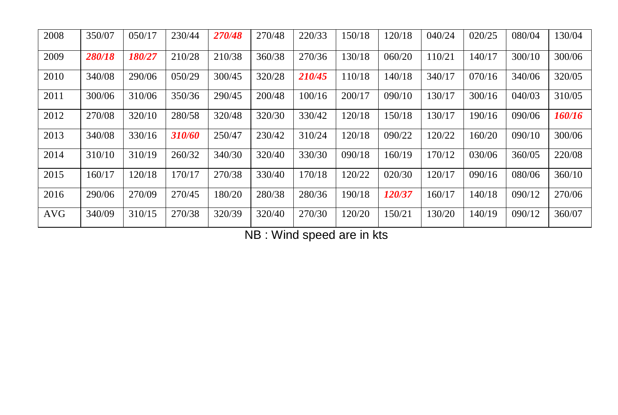| 2008       | 350/07 | 050/17 | 230/44 | 270/48 | 270/48 | 220/33 | 150/18 | 120/18 | 040/24 | 020/25 | 080/04 | 130/04 |
|------------|--------|--------|--------|--------|--------|--------|--------|--------|--------|--------|--------|--------|
| 2009       | 280/18 | 180/27 | 210/28 | 210/38 | 360/38 | 270/36 | 130/18 | 060/20 | 110/21 | 140/17 | 300/10 | 300/06 |
| 2010       | 340/08 | 290/06 | 050/29 | 300/45 | 320/28 | 210/45 | 110/18 | 140/18 | 340/17 | 070/16 | 340/06 | 320/05 |
| 2011       | 300/06 | 310/06 | 350/36 | 290/45 | 200/48 | 100/16 | 200/17 | 090/10 | 130/17 | 300/16 | 040/03 | 310/05 |
| 2012       | 270/08 | 320/10 | 280/58 | 320/48 | 320/30 | 330/42 | 120/18 | 150/18 | 130/17 | 190/16 | 090/06 | 160/16 |
| 2013       | 340/08 | 330/16 | 310/60 | 250/47 | 230/42 | 310/24 | 120/18 | 090/22 | 120/22 | 160/20 | 090/10 | 300/06 |
| 2014       | 310/10 | 310/19 | 260/32 | 340/30 | 320/40 | 330/30 | 090/18 | 160/19 | 170/12 | 030/06 | 360/05 | 220/08 |
| 2015       | 160/17 | 120/18 | 170/17 | 270/38 | 330/40 | 170/18 | 120/22 | 020/30 | 120/17 | 090/16 | 080/06 | 360/10 |
| 2016       | 290/06 | 270/09 | 270/45 | 180/20 | 280/38 | 280/36 | 190/18 | 120/37 | 160/17 | 140/18 | 090/12 | 270/06 |
| <b>AVG</b> | 340/09 | 310/15 | 270/38 | 320/39 | 320/40 | 270/30 | 120/20 | 150/21 | 130/20 | 140/19 | 090/12 | 360/07 |

NB : Wind speed are in kts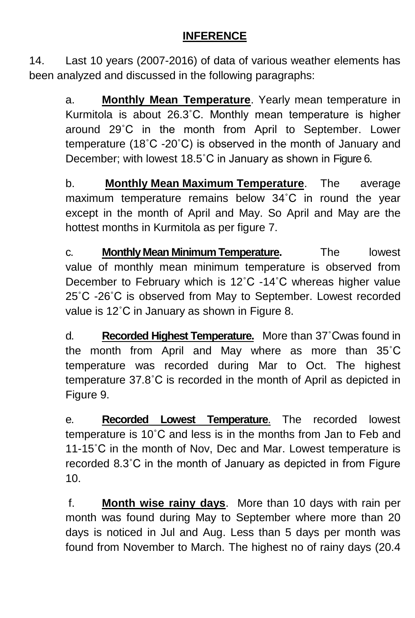### **INFERENCE**

14. Last 10 years (2007-2016) of data of various weather elements has been analyzed and discussed in the following paragraphs:

a. **Monthly Mean Temperature**. Yearly mean temperature in Kurmitola is about 26.3˚C. Monthly mean temperature is higher around 29˚C in the month from April to September. Lower temperature (18˚C -20˚C) is observed in the month of January and December; with lowest 18.5˚C in January as shown in Figure 6.

b. **Monthly Mean Maximum Temperature**. The average maximum temperature remains below 34˚C in round the year except in the month of April and May. So April and May are the hottest months in Kurmitola as per figure 7.

c. **Monthly Mean Minimum Temperature.** The lowest value of monthly mean minimum temperature is observed from December to February which is 12˚C -14˚C whereas higher value 25˚C -26˚C is observed from May to September. Lowest recorded value is 12˚C in January as shown in Figure 8.

d. **Recorded Highest Temperature.** More than 37˚Cwas found in the month from April and May where as more than 35˚C temperature was recorded during Mar to Oct. The highest temperature 37.8˚C is recorded in the month of April as depicted in Figure 9.

e. **Recorded Lowest Temperature**. The recorded lowest temperature is 10˚C and less is in the months from Jan to Feb and 11-15˚C in the month of Nov, Dec and Mar. Lowest temperature is recorded 8.3˚C in the month of January as depicted in from Figure 10.

f. **Month wise rainy days**. More than 10 days with rain per month was found during May to September where more than 20 days is noticed in Jul and Aug. Less than 5 days per month was found from November to March. The highest no of rainy days (20.4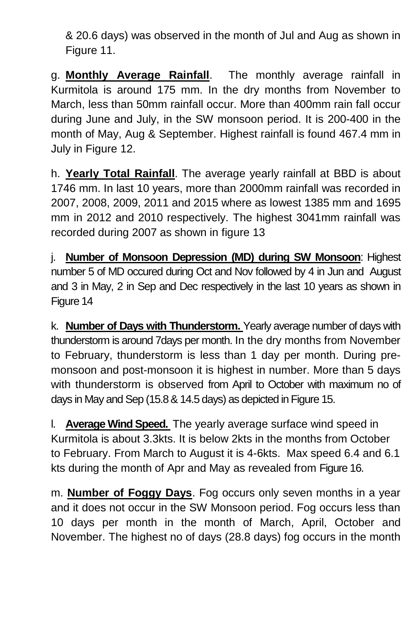& 20.6 days) was observed in the month of Jul and Aug as shown in Figure 11.

g. **Monthly Average Rainfall**. The monthly average rainfall in Kurmitola is around 175 mm. In the dry months from November to March, less than 50mm rainfall occur. More than 400mm rain fall occur during June and July, in the SW monsoon period. It is 200-400 in the month of May, Aug & September. Highest rainfall is found 467.4 mm in July in Figure 12.

h. **Yearly Total Rainfall**. The average yearly rainfall at BBD is about 1746 mm. In last 10 years, more than 2000mm rainfall was recorded in 2007, 2008, 2009, 2011 and 2015 where as lowest 1385 mm and 1695 mm in 2012 and 2010 respectively. The highest 3041mm rainfall was recorded during 2007 as shown in figure 13

j. **Number of Monsoon Depression (MD) during SW Monsoon**: Highest number 5 of MD occured during Oct and Nov followed by 4 in Jun and August and 3 in May, 2 in Sep and Dec respectively in the last 10 years as shown in Figure 14

k. **Number of Days with Thunderstorm.** Yearly average number of days with thunderstorm is around 7days per month. In the dry months from November to February, thunderstorm is less than 1 day per month. During premonsoon and post-monsoon it is highest in number. More than 5 days with thunderstorm is observed from April to October with maximum no of days in May and Sep (15.8 & 14.5 days) as depicted in Figure 15.

l. **Average Wind Speed.** The yearly average surface wind speed in Kurmitola is about 3.3kts. It is below 2kts in the months from October to February. From March to August it is 4-6kts. Max speed 6.4 and 6.1 kts during the month of Apr and May as revealed from Figure 16.

m. **Number of Foggy Days**. Fog occurs only seven months in a year and it does not occur in the SW Monsoon period. Fog occurs less than 10 days per month in the month of March, April, October and November. The highest no of days (28.8 days) fog occurs in the month